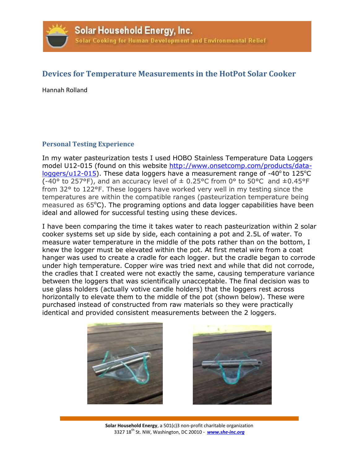

## **Devices for Temperature Measurements in the HotPot Solar Cooker**

Hannah Rolland

## **Personal Testing Experience**

In my water pasteurization tests I used HOBO Stainless Temperature Data Loggers model U12-015 (found on this website [http://www.onsetcomp.com/products/data](http://www.onsetcomp.com/products/data-loggers/u12-015) $loggers/u12-015$ ). These data loggers have a measurement range of -40 $^{\circ}$  to 125 $^{\circ}$ C (-40° to 257°F), and an accuracy level of  $\pm$  0.25°C from 0° to 50°C and  $\pm$ 0.45°F from 32° to 122°F. These loggers have worked very well in my testing since the temperatures are within the compatible ranges (pasteurization temperature being measured as  $65^{\circ}$ C). The programing options and data logger capabilities have been ideal and allowed for successful testing using these devices.

I have been comparing the time it takes water to reach pasteurization within 2 solar cooker systems set up side by side, each containing a pot and 2.5L of water. To measure water temperature in the middle of the pots rather than on the bottom, I knew the logger must be elevated within the pot. At first metal wire from a coat hanger was used to create a cradle for each logger. but the cradle began to corrode under high temperature. Copper wire was tried next and while that did not corrode, the cradles that I created were not exactly the same, causing temperature variance between the loggers that was scientifically unacceptable. The final decision was to use glass holders (actually votive candle holders) that the loggers rest across horizontally to elevate them to the middle of the pot (shown below). These were purchased instead of constructed from raw materials so they were practically identical and provided consistent measurements between the 2 loggers.





**Solar Household Energy**, a 501(c)3 non-profit charitable organization 3327 18th St. NW, Washington, DC 20010 - *[www.she-inc.org](http://www.she-inc.org/)*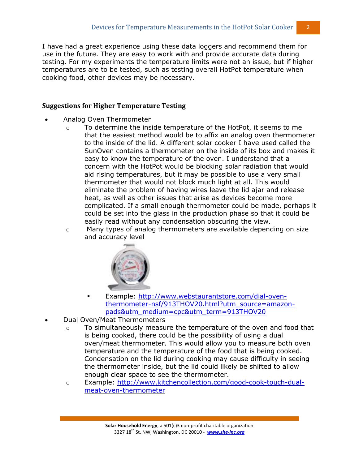I have had a great experience using these data loggers and recommend them for use in the future. They are easy to work with and provide accurate data during testing. For my experiments the temperature limits were not an issue, but if higher temperatures are to be tested, such as testing overall HotPot temperature when cooking food, other devices may be necessary.

## **Suggestions for Higher Temperature Testing**

- Analog Oven Thermometer
	- $\circ$  To determine the inside temperature of the HotPot, it seems to me that the easiest method would be to affix an analog oven thermometer to the inside of the lid. A different solar cooker I have used called the SunOven contains a thermometer on the inside of its box and makes it easy to know the temperature of the oven. I understand that a concern with the HotPot would be blocking solar radiation that would aid rising temperatures, but it may be possible to use a very small thermometer that would not block much light at all. This would eliminate the problem of having wires leave the lid ajar and release heat, as well as other issues that arise as devices become more complicated. If a small enough thermometer could be made, perhaps it could be set into the glass in the production phase so that it could be easily read without any condensation obscuring the view.
	- $\circ$  Many types of analog thermometers are available depending on size and accuracy level



- Example: [http://www.webstaurantstore.com/dial-oven](http://www.webstaurantstore.com/dial-oven-thermometer-nsf/913THOV20.html?utm_source=amazon-pads&utm_medium=cpc&utm_term=913THOV20)[thermometer-nsf/913THOV20.html?utm\\_source=amazon](http://www.webstaurantstore.com/dial-oven-thermometer-nsf/913THOV20.html?utm_source=amazon-pads&utm_medium=cpc&utm_term=913THOV20)[pads&utm\\_medium=cpc&utm\\_term=913THOV20](http://www.webstaurantstore.com/dial-oven-thermometer-nsf/913THOV20.html?utm_source=amazon-pads&utm_medium=cpc&utm_term=913THOV20)
- Dual Oven/Meat Thermometers
	- $\circ$  To simultaneously measure the temperature of the oven and food that is being cooked, there could be the possibility of using a dual oven/meat thermometer. This would allow you to measure both oven temperature and the temperature of the food that is being cooked. Condensation on the lid during cooking may cause difficulty in seeing the thermometer inside, but the lid could likely be shifted to allow enough clear space to see the thermometer.
	- o Example: [http://www.kitchencollection.com/good-cook-touch-dual](http://www.kitchencollection.com/good-cook-touch-dual-meat-oven-thermometer)[meat-oven-thermometer](http://www.kitchencollection.com/good-cook-touch-dual-meat-oven-thermometer)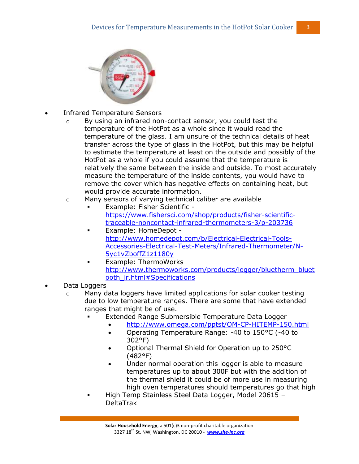

- Infrared Temperature Sensors
	- o By using an infrared non-contact sensor, you could test the temperature of the HotPot as a whole since it would read the temperature of the glass. I am unsure of the technical details of heat transfer across the type of glass in the HotPot, but this may be helpful to estimate the temperature at least on the outside and possibly of the HotPot as a whole if you could assume that the temperature is relatively the same between the inside and outside. To most accurately measure the temperature of the inside contents, you would have to remove the cover which has negative effects on containing heat, but would provide accurate information.
	- o Many sensors of varying technical caliber are available
		- Example: Fisher Scientific [https://www.fishersci.com/shop/products/fisher-scientific](https://www.fishersci.com/shop/products/fisher-scientific-traceable-noncontact-infrared-thermometers-3/p-203736)[traceable-noncontact-infrared-thermometers-3/p-203736](https://www.fishersci.com/shop/products/fisher-scientific-traceable-noncontact-infrared-thermometers-3/p-203736)
		- Example: HomeDepot [http://www.homedepot.com/b/Electrical-Electrical-Tools-](http://www.homedepot.com/b/Electrical-Electrical-Tools-Accessories-Electrical-Test-Meters/Infrared-Thermometer/N-5yc1vZboffZ1z1180y)[Accessories-Electrical-Test-Meters/Infrared-Thermometer/N-](http://www.homedepot.com/b/Electrical-Electrical-Tools-Accessories-Electrical-Test-Meters/Infrared-Thermometer/N-5yc1vZboffZ1z1180y)[5yc1vZboffZ1z1180y](http://www.homedepot.com/b/Electrical-Electrical-Tools-Accessories-Electrical-Test-Meters/Infrared-Thermometer/N-5yc1vZboffZ1z1180y)
			- Example: ThermoWorks [http://www.thermoworks.com/products/logger/bluetherm\\_bluet](http://www.thermoworks.com/products/logger/bluetherm_bluetooth_ir.html#Specifications) [ooth\\_ir.html#Specifications](http://www.thermoworks.com/products/logger/bluetherm_bluetooth_ir.html#Specifications)
- Data Loggers
	- o Many data loggers have limited applications for solar cooker testing due to low temperature ranges. There are some that have extended ranges that might be of use.
		- Extended Range Submersible Temperature Data Logger
			- <http://www.omega.com/pptst/OM-CP-HITEMP-150.html>
			- Operating Temperature Range: -40 to 150°C (-40 to 302°F)
			- Optional Thermal Shield for Operation up to 250°C (482°F)
			- Under normal operation this logger is able to measure temperatures up to about 300F but with the addition of the thermal shield it could be of more use in measuring high oven temperatures should temperatures go that high
		- High Temp Stainless Steel Data Logger, Model 20615 DeltaTrak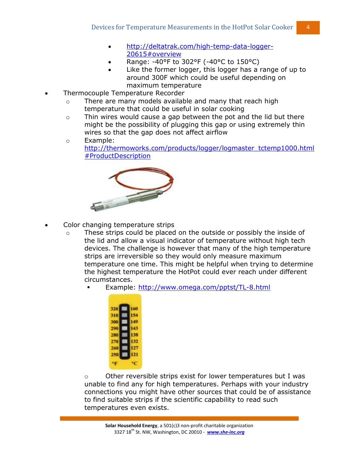- [http://deltatrak.com/high-temp-data-logger-](http://deltatrak.com/high-temp-data-logger-20615#overview)[20615#overview](http://deltatrak.com/high-temp-data-logger-20615#overview)
- Range: -40°F to 302°F (-40°C to 150°C)
- Like the former logger, this logger has a range of up to around 300F which could be useful depending on maximum temperature
- Thermocouple Temperature Recorder
	- o There are many models available and many that reach high temperature that could be useful in solar cooking
	- o Thin wires would cause a gap between the pot and the lid but there might be the possibility of plugging this gap or using extremely thin wires so that the gap does not affect airflow
	- o Example: [http://thermoworks.com/products/logger/logmaster\\_tctemp1000.html](http://thermoworks.com/products/logger/logmaster_tctemp1000.html#ProductDescription) [#ProductDescription](http://thermoworks.com/products/logger/logmaster_tctemp1000.html#ProductDescription)



- Color changing temperature strips
	- o These strips could be placed on the outside or possibly the inside of the lid and allow a visual indicator of temperature without high tech devices. The challenge is however that many of the high temperature strips are irreversible so they would only measure maximum temperature one time. This might be helpful when trying to determine the highest temperature the HotPot could ever reach under different circumstances.
		- Example:<http://www.omega.com/pptst/TL-8.html>



 $\circ$  Other reversible strips exist for lower temperatures but I was unable to find any for high temperatures. Perhaps with your industry connections you might have other sources that could be of assistance to find suitable strips if the scientific capability to read such temperatures even exists.